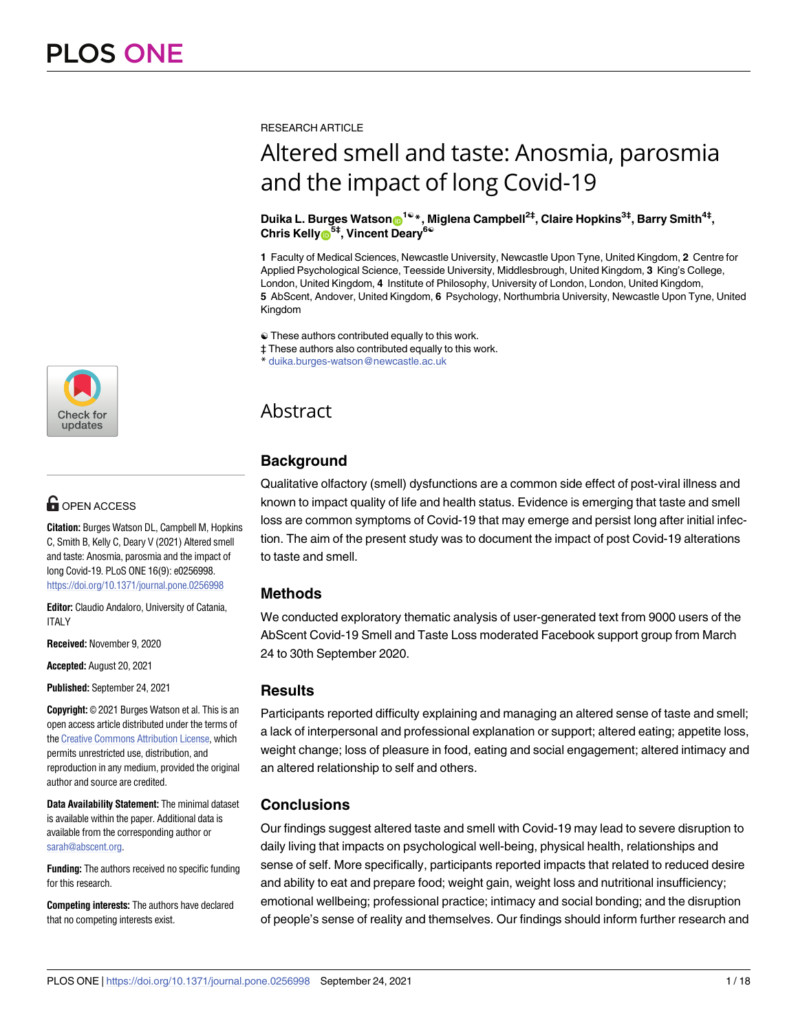RESEARCH ARTICLE

# Altered smell and taste: Anosmia, parosmia and the impact of long Covid-19

 $Dulika L. Burges Watson<sup>19</sup>*, Miglena Campbell<sup>2‡</sup>, Claire Hopkins<sup>3‡</sup>, Barry Smith<sup>4‡</sup>,$  $Chris$  **Kelly**<sup>6<sup>5</sup></del></sub>, **Vincent Deary**<sup>6</sub></sup></sup>

**1** Faculty of Medical Sciences, Newcastle University, Newcastle Upon Tyne, United Kingdom, **2** Centre for Applied Psychological Science, Teesside University, Middlesbrough, United Kingdom, **3** King's College, London, United Kingdom, **4** Institute of Philosophy, University of London, London, United Kingdom, **5** AbScent, Andover, United Kingdom, **6** Psychology, Northumbria University, Newcastle Upon Tyne, United Kingdom

☯ These authors contributed equally to this work.

‡ These authors also contributed equally to this work.

\* duika.burges-watson@newcastle.ac.uk

# Abstract

# **Background**

Qualitative olfactory (smell) dysfunctions are a common side effect of post-viral illness and known to impact quality of life and health status. Evidence is emerging that taste and smell loss are common symptoms of Covid-19 that may emerge and persist long after initial infection. The aim of the present study was to document the impact of post Covid-19 alterations to taste and smell.

# **Methods**

We conducted exploratory thematic analysis of user-generated text from 9000 users of the AbScent Covid-19 Smell and Taste Loss moderated Facebook support group from March 24 to 30th September 2020.

# **Results**

Participants reported difficulty explaining and managing an altered sense of taste and smell; a lack of interpersonal and professional explanation or support; altered eating; appetite loss, weight change; loss of pleasure in food, eating and social engagement; altered intimacy and an altered relationship to self and others.

# **Conclusions**

Our findings suggest altered taste and smell with Covid-19 may lead to severe disruption to daily living that impacts on psychological well-being, physical health, relationships and sense of self. More specifically, participants reported impacts that related to reduced desire and ability to eat and prepare food; weight gain, weight loss and nutritional insufficiency; emotional wellbeing; professional practice; intimacy and social bonding; and the disruption of people's sense of reality and themselves. Our findings should inform further research and



# **G** OPEN ACCESS

**Citation:** Burges Watson DL, Campbell M, Hopkins C, Smith B, Kelly C, Deary V (2021) Altered smell and taste: Anosmia, parosmia and the impact of long Covid-19. PLoS ONE 16(9): e0256998. <https://doi.org/10.1371/journal.pone.0256998>

**Editor:** Claudio Andaloro, University of Catania, **ITALY** 

**Received:** November 9, 2020

**Accepted:** August 20, 2021

**Published:** September 24, 2021

**Copyright:** © 2021 Burges Watson et al. This is an open access article distributed under the terms of the Creative [Commons](http://creativecommons.org/licenses/by/4.0/) Attribution License, which permits unrestricted use, distribution, and reproduction in any medium, provided the original author and source are credited.

**Data Availability Statement:** The minimal dataset is available within the paper. Additional data is available from the corresponding author or [sarah@abscent.org](mailto:sarah@abscent.org).

**Funding:** The authors received no specific funding for this research.

**Competing interests:** The authors have declared that no competing interests exist.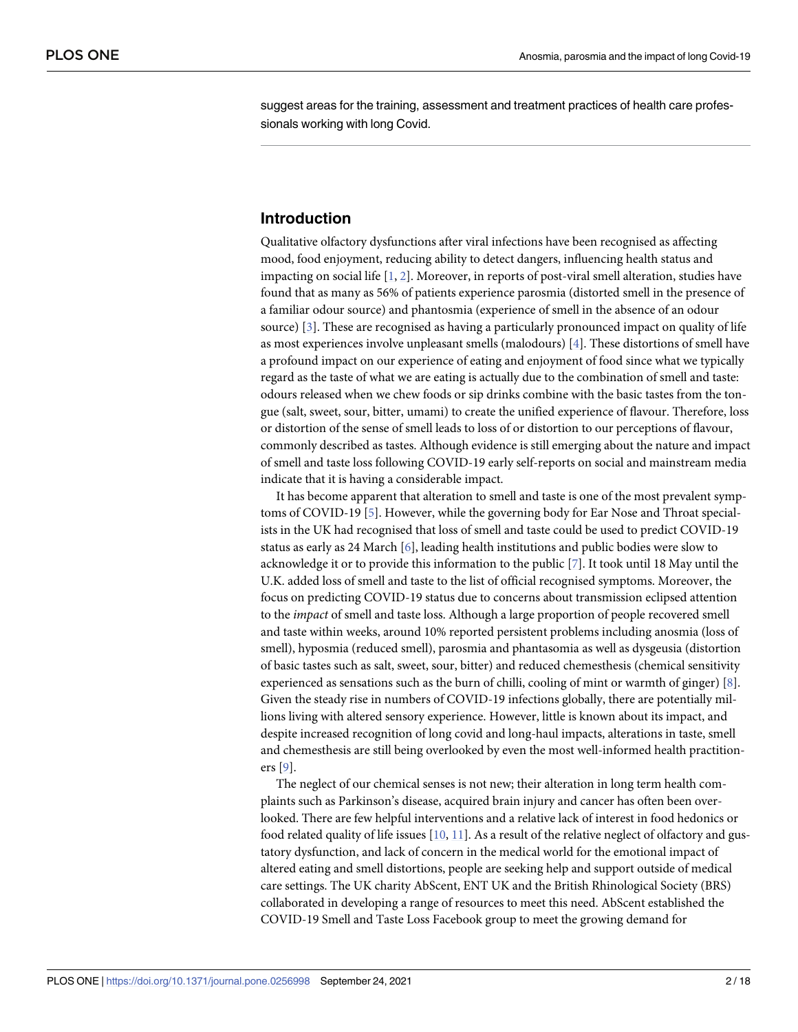<span id="page-1-0"></span>suggest areas for the training, assessment and treatment practices of health care professionals working with long Covid.

### **Introduction**

Qualitative olfactory dysfunctions after viral infections have been recognised as affecting mood, food enjoyment, reducing ability to detect dangers, influencing health status and impacting on social life [[1,](#page-15-0) [2\]](#page-16-0). Moreover, in reports of post-viral smell alteration, studies have found that as many as 56% of patients experience parosmia (distorted smell in the presence of a familiar odour source) and phantosmia (experience of smell in the absence of an odour source) [\[3\]](#page-16-0). These are recognised as having a particularly pronounced impact on quality of life as most experiences involve unpleasant smells (malodours) [[4\]](#page-16-0). These distortions of smell have a profound impact on our experience of eating and enjoyment of food since what we typically regard as the taste of what we are eating is actually due to the combination of smell and taste: odours released when we chew foods or sip drinks combine with the basic tastes from the tongue (salt, sweet, sour, bitter, umami) to create the unified experience of flavour. Therefore, loss or distortion of the sense of smell leads to loss of or distortion to our perceptions of flavour, commonly described as tastes. Although evidence is still emerging about the nature and impact of smell and taste loss following COVID-19 early self-reports on social and mainstream media indicate that it is having a considerable impact.

It has become apparent that alteration to smell and taste is one of the most prevalent symptoms of COVID-19 [[5](#page-16-0)]. However, while the governing body for Ear Nose and Throat specialists in the UK had recognised that loss of smell and taste could be used to predict COVID-19 status as early as 24 March [[6](#page-16-0)], leading health institutions and public bodies were slow to acknowledge it or to provide this information to the public [[7\]](#page-16-0). It took until 18 May until the U.K. added loss of smell and taste to the list of official recognised symptoms. Moreover, the focus on predicting COVID-19 status due to concerns about transmission eclipsed attention to the *impact* of smell and taste loss. Although a large proportion of people recovered smell and taste within weeks, around 10% reported persistent problems including anosmia (loss of smell), hyposmia (reduced smell), parosmia and phantasomia as well as dysgeusia (distortion of basic tastes such as salt, sweet, sour, bitter) and reduced chemesthesis (chemical sensitivity experienced as sensations such as the burn of chilli, cooling of mint or warmth of ginger) [[8\]](#page-16-0). Given the steady rise in numbers of COVID-19 infections globally, there are potentially millions living with altered sensory experience. However, little is known about its impact, and despite increased recognition of long covid and long-haul impacts, alterations in taste, smell and chemesthesis are still being overlooked by even the most well-informed health practitioners [\[9\]](#page-16-0).

The neglect of our chemical senses is not new; their alteration in long term health complaints such as Parkinson's disease, acquired brain injury and cancer has often been overlooked. There are few helpful interventions and a relative lack of interest in food hedonics or food related quality of life issues [[10](#page-16-0), [11](#page-16-0)]. As a result of the relative neglect of olfactory and gustatory dysfunction, and lack of concern in the medical world for the emotional impact of altered eating and smell distortions, people are seeking help and support outside of medical care settings. The UK charity AbScent, ENT UK and the British Rhinological Society (BRS) collaborated in developing a range of resources to meet this need. AbScent established the COVID-19 Smell and Taste Loss Facebook group to meet the growing demand for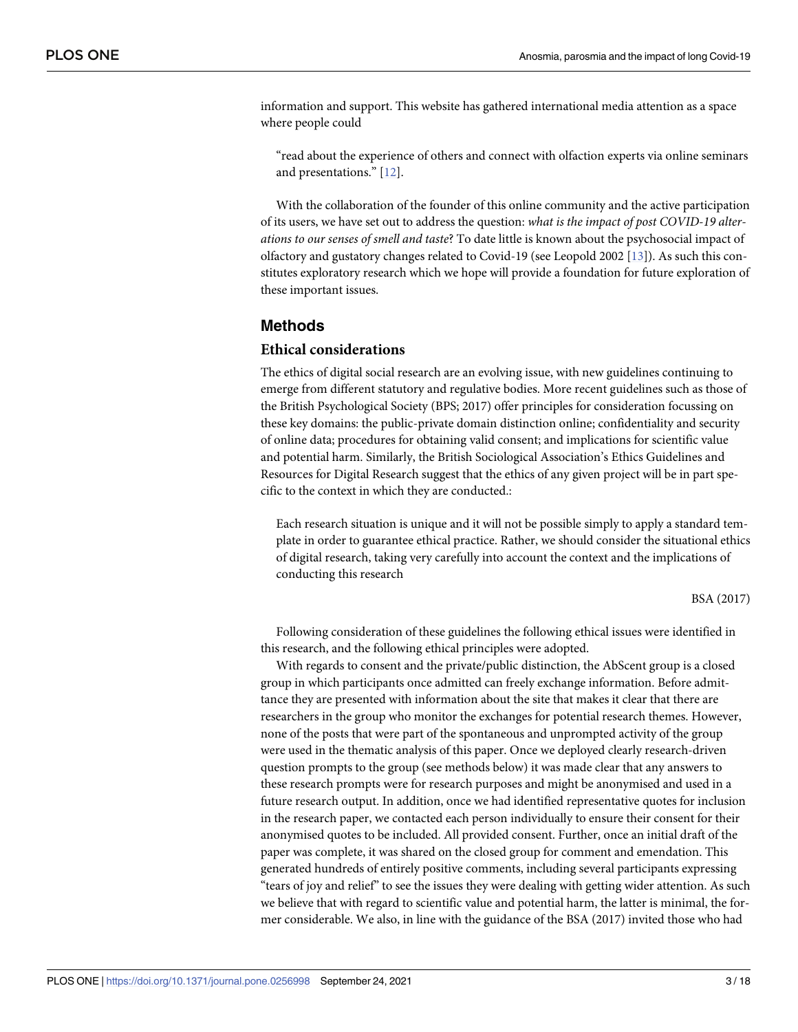<span id="page-2-0"></span>information and support. This website has gathered international media attention as a space where people could

"read about the experience of others and connect with olfaction experts via online seminars and presentations." [[12](#page-16-0)].

With the collaboration of the founder of this online community and the active participation of its users, we have set out to address the question: *what is the impact of post COVID-19 alterations to our senses of smell and taste*? To date little is known about the psychosocial impact of olfactory and gustatory changes related to Covid-19 (see Leopold 2002 [\[13\]](#page-16-0)). As such this constitutes exploratory research which we hope will provide a foundation for future exploration of these important issues.

#### **Methods**

#### **Ethical considerations**

The ethics of digital social research are an evolving issue, with new guidelines continuing to emerge from different statutory and regulative bodies. More recent guidelines such as those of the British Psychological Society (BPS; 2017) offer principles for consideration focussing on these key domains: the public-private domain distinction online; confidentiality and security of online data; procedures for obtaining valid consent; and implications for scientific value and potential harm. Similarly, the British Sociological Association's Ethics Guidelines and Resources for Digital Research suggest that the ethics of any given project will be in part specific to the context in which they are conducted.:

Each research situation is unique and it will not be possible simply to apply a standard template in order to guarantee ethical practice. Rather, we should consider the situational ethics of digital research, taking very carefully into account the context and the implications of conducting this research

#### BSA (2017)

Following consideration of these guidelines the following ethical issues were identified in this research, and the following ethical principles were adopted.

With regards to consent and the private/public distinction, the AbScent group is a closed group in which participants once admitted can freely exchange information. Before admittance they are presented with information about the site that makes it clear that there are researchers in the group who monitor the exchanges for potential research themes. However, none of the posts that were part of the spontaneous and unprompted activity of the group were used in the thematic analysis of this paper. Once we deployed clearly research-driven question prompts to the group (see methods below) it was made clear that any answers to these research prompts were for research purposes and might be anonymised and used in a future research output. In addition, once we had identified representative quotes for inclusion in the research paper, we contacted each person individually to ensure their consent for their anonymised quotes to be included. All provided consent. Further, once an initial draft of the paper was complete, it was shared on the closed group for comment and emendation. This generated hundreds of entirely positive comments, including several participants expressing "tears of joy and relief" to see the issues they were dealing with getting wider attention. As such we believe that with regard to scientific value and potential harm, the latter is minimal, the former considerable. We also, in line with the guidance of the BSA (2017) invited those who had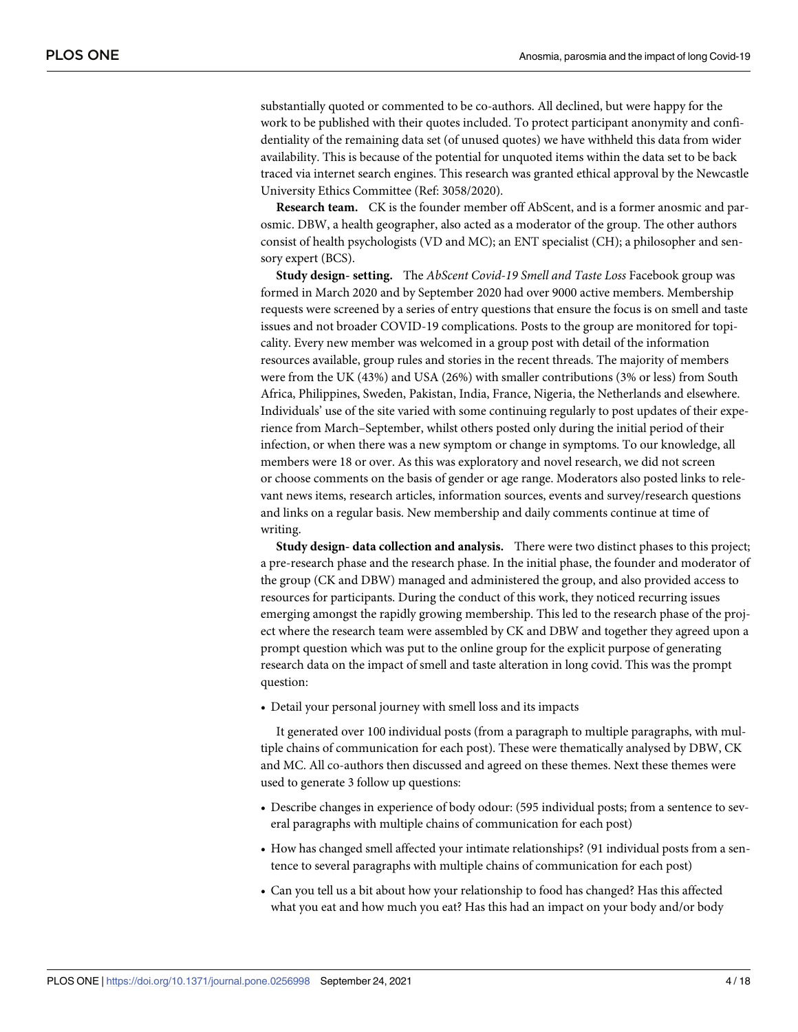substantially quoted or commented to be co-authors. All declined, but were happy for the work to be published with their quotes included. To protect participant anonymity and confidentiality of the remaining data set (of unused quotes) we have withheld this data from wider availability. This is because of the potential for unquoted items within the data set to be back traced via internet search engines. This research was granted ethical approval by the Newcastle University Ethics Committee (Ref: 3058/2020).

**Research team.** CK is the founder member off AbScent, and is a former anosmic and parosmic. DBW, a health geographer, also acted as a moderator of the group. The other authors consist of health psychologists (VD and MC); an ENT specialist (CH); a philosopher and sensory expert (BCS).

**Study design- setting.** The *AbScent Covid-19 Smell and Taste Loss* Facebook group was formed in March 2020 and by September 2020 had over 9000 active members. Membership requests were screened by a series of entry questions that ensure the focus is on smell and taste issues and not broader COVID-19 complications. Posts to the group are monitored for topicality. Every new member was welcomed in a group post with detail of the information resources available, group rules and stories in the recent threads. The majority of members were from the UK (43%) and USA (26%) with smaller contributions (3% or less) from South Africa, Philippines, Sweden, Pakistan, India, France, Nigeria, the Netherlands and elsewhere. Individuals' use of the site varied with some continuing regularly to post updates of their experience from March–September, whilst others posted only during the initial period of their infection, or when there was a new symptom or change in symptoms. To our knowledge, all members were 18 or over. As this was exploratory and novel research, we did not screen or choose comments on the basis of gender or age range. Moderators also posted links to relevant news items, research articles, information sources, events and survey/research questions and links on a regular basis. New membership and daily comments continue at time of writing.

**Study design- data collection and analysis.** There were two distinct phases to this project; a pre-research phase and the research phase. In the initial phase, the founder and moderator of the group (CK and DBW) managed and administered the group, and also provided access to resources for participants. During the conduct of this work, they noticed recurring issues emerging amongst the rapidly growing membership. This led to the research phase of the project where the research team were assembled by CK and DBW and together they agreed upon a prompt question which was put to the online group for the explicit purpose of generating research data on the impact of smell and taste alteration in long covid. This was the prompt question:

• Detail your personal journey with smell loss and its impacts

It generated over 100 individual posts (from a paragraph to multiple paragraphs, with multiple chains of communication for each post). These were thematically analysed by DBW, CK and MC. All co-authors then discussed and agreed on these themes. Next these themes were used to generate 3 follow up questions:

- Describe changes in experience of body odour: (595 individual posts; from a sentence to several paragraphs with multiple chains of communication for each post)
- How has changed smell affected your intimate relationships? (91 individual posts from a sentence to several paragraphs with multiple chains of communication for each post)
- Can you tell us a bit about how your relationship to food has changed? Has this affected what you eat and how much you eat? Has this had an impact on your body and/or body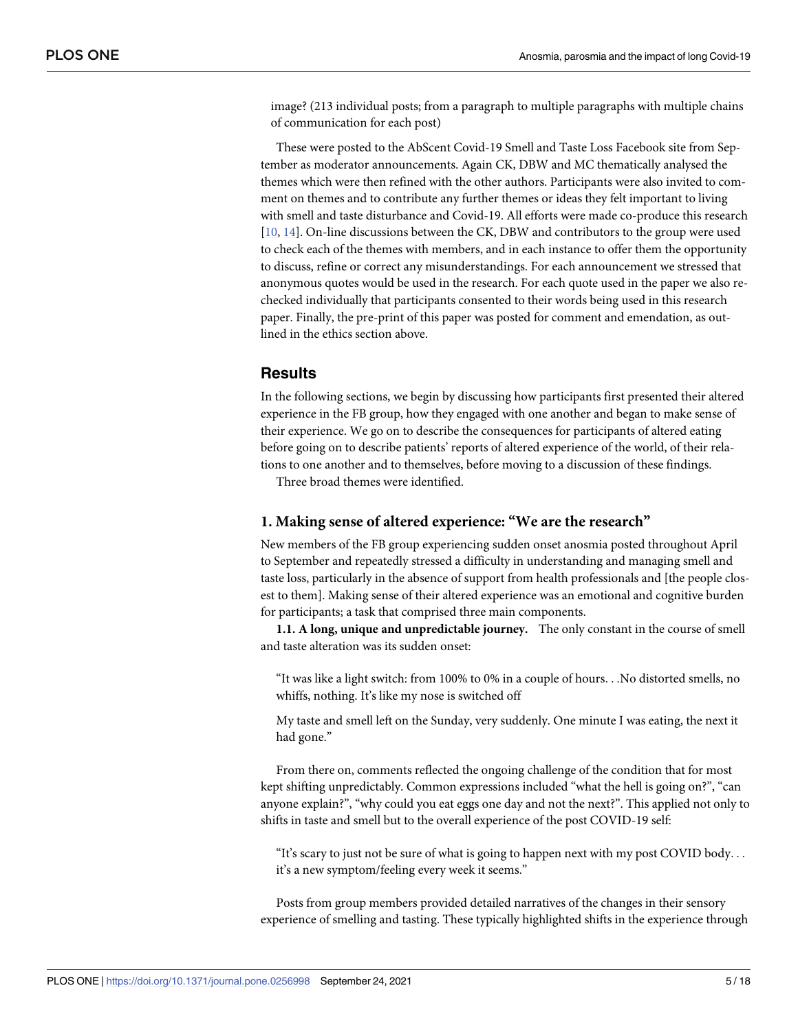<span id="page-4-0"></span>image? (213 individual posts; from a paragraph to multiple paragraphs with multiple chains of communication for each post)

These were posted to the AbScent Covid-19 Smell and Taste Loss Facebook site from September as moderator announcements. Again CK, DBW and MC thematically analysed the themes which were then refined with the other authors. Participants were also invited to comment on themes and to contribute any further themes or ideas they felt important to living with smell and taste disturbance and Covid-19. All efforts were made co-produce this research [\[10,](#page-16-0) [14\]](#page-16-0). On-line discussions between the CK, DBW and contributors to the group were used to check each of the themes with members, and in each instance to offer them the opportunity to discuss, refine or correct any misunderstandings. For each announcement we stressed that anonymous quotes would be used in the research. For each quote used in the paper we also rechecked individually that participants consented to their words being used in this research paper. Finally, the pre-print of this paper was posted for comment and emendation, as outlined in the ethics section above.

### **Results**

In the following sections, we begin by discussing how participants first presented their altered experience in the FB group, how they engaged with one another and began to make sense of their experience. We go on to describe the consequences for participants of altered eating before going on to describe patients' reports of altered experience of the world, of their relations to one another and to themselves, before moving to a discussion of these findings.

Three broad themes were identified.

#### **1. Making sense of altered experience: "We are the research"**

New members of the FB group experiencing sudden onset anosmia posted throughout April to September and repeatedly stressed a difficulty in understanding and managing smell and taste loss, particularly in the absence of support from health professionals and [the people closest to them]. Making sense of their altered experience was an emotional and cognitive burden for participants; a task that comprised three main components.

**1.1. A long, unique and unpredictable journey.** The only constant in the course of smell and taste alteration was its sudden onset:

"It was like a light switch: from 100% to 0% in a couple of hours. . .No distorted smells, no whiffs, nothing. It's like my nose is switched off

My taste and smell left on the Sunday, very suddenly. One minute I was eating, the next it had gone."

From there on, comments reflected the ongoing challenge of the condition that for most kept shifting unpredictably. Common expressions included "what the hell is going on?", "can anyone explain?", "why could you eat eggs one day and not the next?". This applied not only to shifts in taste and smell but to the overall experience of the post COVID-19 self:

"It's scary to just not be sure of what is going to happen next with my post COVID body. . . it's a new symptom/feeling every week it seems."

Posts from group members provided detailed narratives of the changes in their sensory experience of smelling and tasting. These typically highlighted shifts in the experience through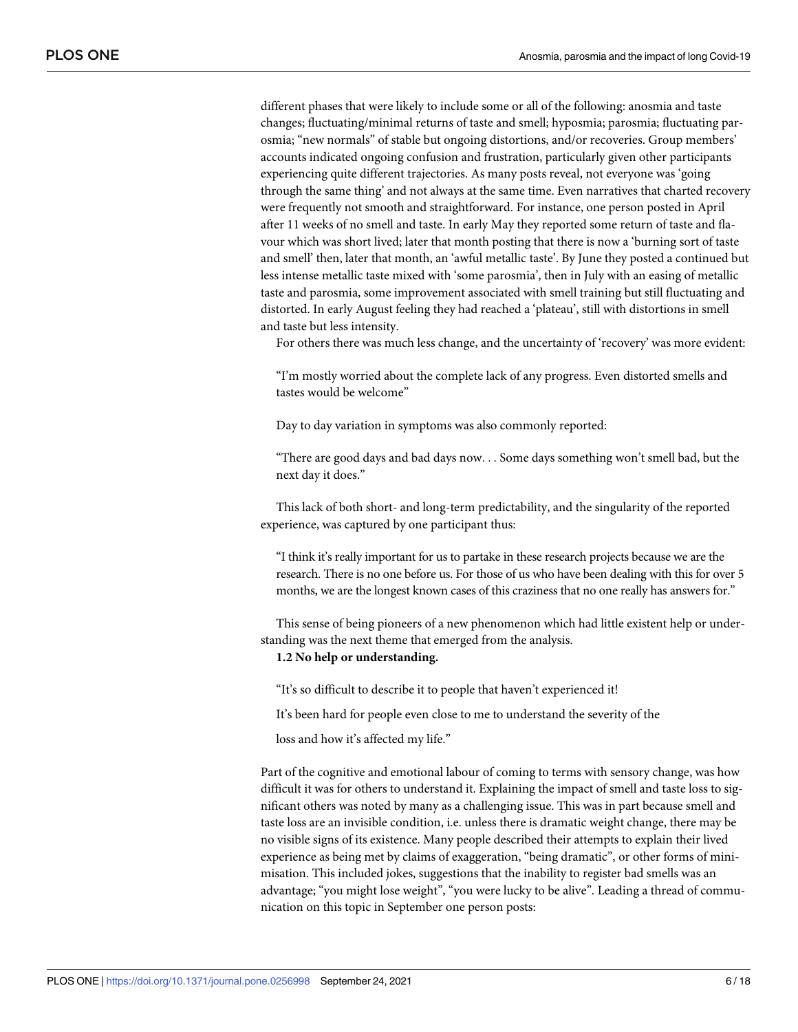different phases that were likely to include some or all of the following: anosmia and taste changes; fluctuating/minimal returns of taste and smell; hyposmia; parosmia; fluctuating parosmia; "new normals" of stable but ongoing distortions, and/or recoveries. Group members' accounts indicated ongoing confusion and frustration, particularly given other participants experiencing quite different trajectories. As many posts reveal, not everyone was 'going through the same thing' and not always at the same time. Even narratives that charted recovery were frequently not smooth and straightforward. For instance, one person posted in April after 11 weeks of no smell and taste. In early May they reported some return of taste and flavour which was short lived; later that month posting that there is now a 'burning sort of taste and smell' then, later that month, an 'awful metallic taste'. By June they posted a continued but less intense metallic taste mixed with 'some parosmia', then in July with an easing of metallic taste and parosmia, some improvement associated with smell training but still fluctuating and distorted. In early August feeling they had reached a 'plateau', still with distortions in smell and taste but less intensity.

For others there was much less change, and the uncertainty of 'recovery' was more evident:

"I'm mostly worried about the complete lack of any progress. Even distorted smells and tastes would be welcome"

Day to day variation in symptoms was also commonly reported:

"There are good days and bad days now. . . Some days something won't smell bad, but the next day it does."

This lack of both short- and long-term predictability, and the singularity of the reported experience, was captured by one participant thus:

"I think it's really important for us to partake in these research projects because we are the research. There is no one before us. For those of us who have been dealing with this for over 5 months, we are the longest known cases of this craziness that no one really has answers for."

This sense of being pioneers of a new phenomenon which had little existent help or understanding was the next theme that emerged from the analysis.

#### **1.2 No help or understanding.**

"It's so difficult to describe it to people that haven't experienced it!

It's been hard for people even close to me to understand the severity of the

loss and how it's affected my life."

Part of the cognitive and emotional labour of coming to terms with sensory change, was how difficult it was for others to understand it. Explaining the impact of smell and taste loss to significant others was noted by many as a challenging issue. This was in part because smell and taste loss are an invisible condition, i.e. unless there is dramatic weight change, there may be no visible signs of its existence. Many people described their attempts to explain their lived experience as being met by claims of exaggeration, "being dramatic", or other forms of minimisation. This included jokes, suggestions that the inability to register bad smells was an advantage; "you might lose weight", "you were lucky to be alive". Leading a thread of communication on this topic in September one person posts: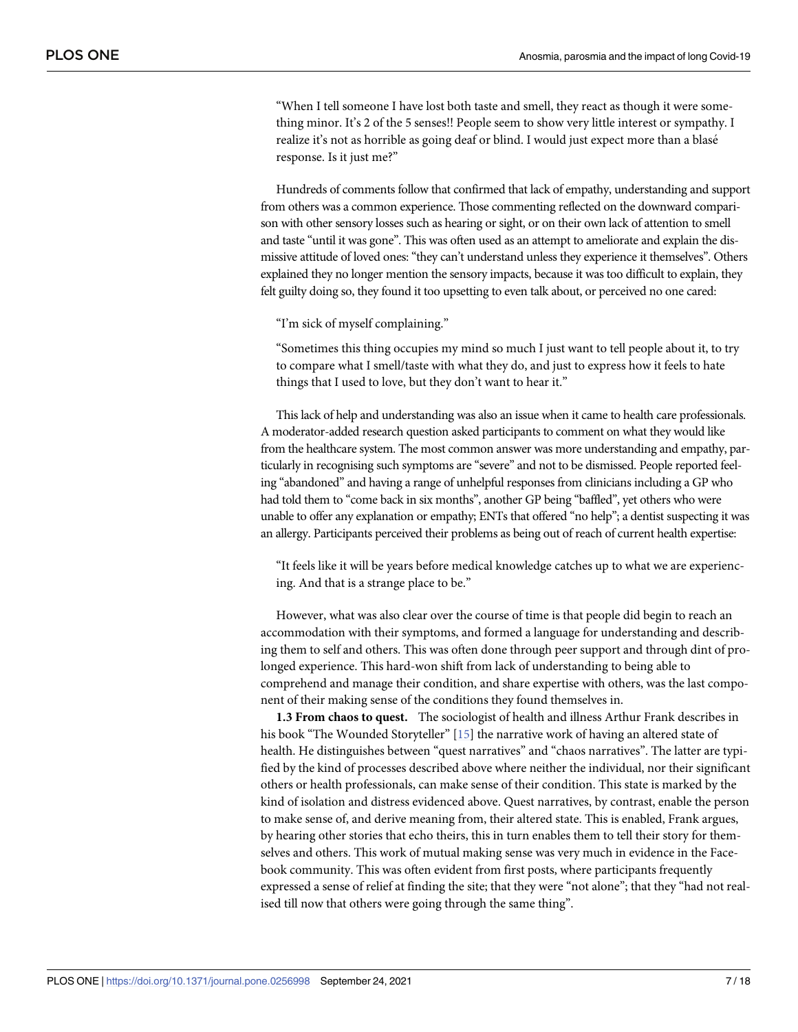<span id="page-6-0"></span>"When I tell someone I have lost both taste and smell, they react as though it were something minor. It's 2 of the 5 senses!! People seem to show very little interest or sympathy. I realize it's not as horrible as going deaf or blind. I would just expect more than a blasé response. Is it just me?"

Hundreds of comments follow that confirmed that lack of empathy, understanding and support from others was a common experience. Those commenting reflected on the downward comparison with other sensory losses such as hearing or sight, or on their own lack of attention to smell and taste "until it was gone". This was often used as an attempt to ameliorate and explain the dismissive attitude of loved ones: "they can't understand unless they experience it themselves". Others explained they no longer mention the sensory impacts, because it was too difficult to explain, they felt guilty doing so, they found it too upsetting to even talk about, or perceived no one cared:

"I'm sick of myself complaining."

"Sometimes this thing occupies my mind so much I just want to tell people about it, to try to compare what I smell/taste with what they do, and just to express how it feels to hate things that I used to love, but they don't want to hear it."

This lack of help and understanding was also an issue when it came to health care professionals. A moderator-added research question asked participants to comment on what they would like from the healthcare system. The most common answer was more understanding and empathy, particularly in recognising such symptoms are "severe" and not to be dismissed. People reported feeling "abandoned" and having a range of unhelpful responses from clinicians including a GP who had told them to "come back in six months", another GP being "baffled", yet others who were unable to offer any explanation or empathy; ENTs that offered "no help"; a dentist suspecting it was an allergy. Participants perceived their problems as being out of reach of current health expertise:

"It feels like it will be years before medical knowledge catches up to what we are experiencing. And that is a strange place to be."

However, what was also clear over the course of time is that people did begin to reach an accommodation with their symptoms, and formed a language for understanding and describing them to self and others. This was often done through peer support and through dint of prolonged experience. This hard-won shift from lack of understanding to being able to comprehend and manage their condition, and share expertise with others, was the last component of their making sense of the conditions they found themselves in.

**1.3 From chaos to quest.** The sociologist of health and illness Arthur Frank describes in his book "The Wounded Storyteller" [\[15\]](#page-16-0) the narrative work of having an altered state of health. He distinguishes between "quest narratives" and "chaos narratives". The latter are typified by the kind of processes described above where neither the individual, nor their significant others or health professionals, can make sense of their condition. This state is marked by the kind of isolation and distress evidenced above. Quest narratives, by contrast, enable the person to make sense of, and derive meaning from, their altered state. This is enabled, Frank argues, by hearing other stories that echo theirs, this in turn enables them to tell their story for themselves and others. This work of mutual making sense was very much in evidence in the Facebook community. This was often evident from first posts, where participants frequently expressed a sense of relief at finding the site; that they were "not alone"; that they "had not realised till now that others were going through the same thing".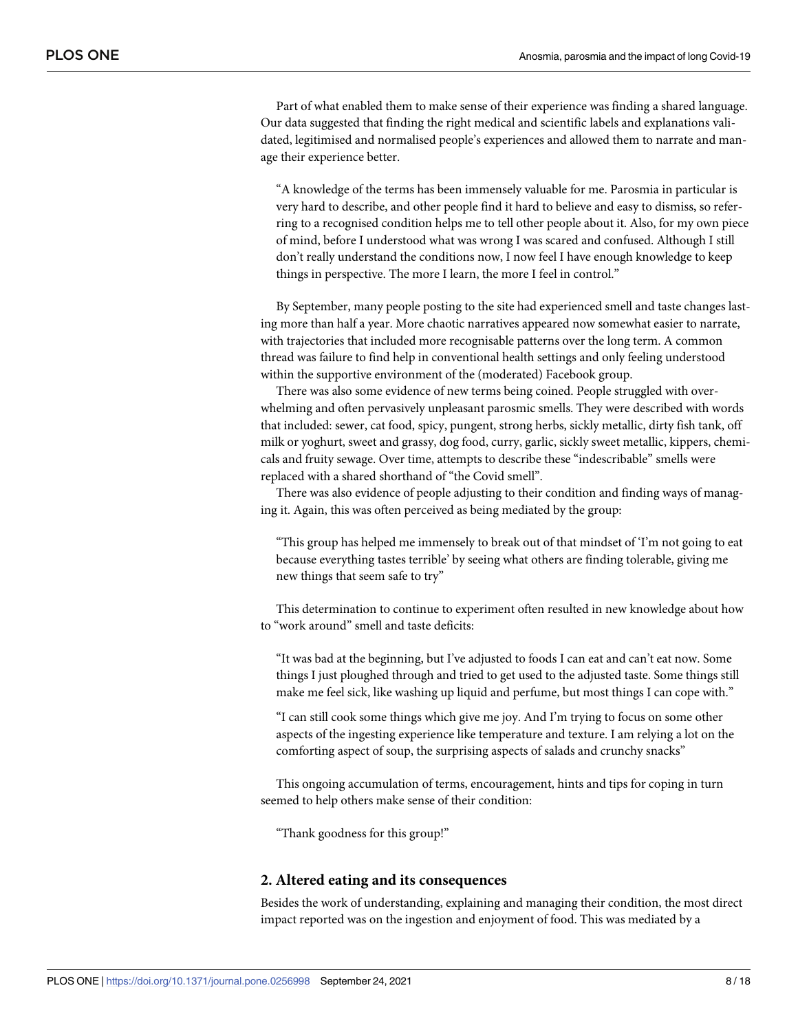Part of what enabled them to make sense of their experience was finding a shared language. Our data suggested that finding the right medical and scientific labels and explanations validated, legitimised and normalised people's experiences and allowed them to narrate and manage their experience better.

"A knowledge of the terms has been immensely valuable for me. Parosmia in particular is very hard to describe, and other people find it hard to believe and easy to dismiss, so referring to a recognised condition helps me to tell other people about it. Also, for my own piece of mind, before I understood what was wrong I was scared and confused. Although I still don't really understand the conditions now, I now feel I have enough knowledge to keep things in perspective. The more I learn, the more I feel in control."

By September, many people posting to the site had experienced smell and taste changes lasting more than half a year. More chaotic narratives appeared now somewhat easier to narrate, with trajectories that included more recognisable patterns over the long term. A common thread was failure to find help in conventional health settings and only feeling understood within the supportive environment of the (moderated) Facebook group.

There was also some evidence of new terms being coined. People struggled with overwhelming and often pervasively unpleasant parosmic smells. They were described with words that included: sewer, cat food, spicy, pungent, strong herbs, sickly metallic, dirty fish tank, off milk or yoghurt, sweet and grassy, dog food, curry, garlic, sickly sweet metallic, kippers, chemicals and fruity sewage. Over time, attempts to describe these "indescribable" smells were replaced with a shared shorthand of "the Covid smell".

There was also evidence of people adjusting to their condition and finding ways of managing it. Again, this was often perceived as being mediated by the group:

"This group has helped me immensely to break out of that mindset of 'I'm not going to eat because everything tastes terrible' by seeing what others are finding tolerable, giving me new things that seem safe to try"

This determination to continue to experiment often resulted in new knowledge about how to "work around" smell and taste deficits:

"It was bad at the beginning, but I've adjusted to foods I can eat and can't eat now. Some things I just ploughed through and tried to get used to the adjusted taste. Some things still make me feel sick, like washing up liquid and perfume, but most things I can cope with."

"I can still cook some things which give me joy. And I'm trying to focus on some other aspects of the ingesting experience like temperature and texture. I am relying a lot on the comforting aspect of soup, the surprising aspects of salads and crunchy snacks"

This ongoing accumulation of terms, encouragement, hints and tips for coping in turn seemed to help others make sense of their condition:

"Thank goodness for this group!"

#### **2. Altered eating and its consequences**

Besides the work of understanding, explaining and managing their condition, the most direct impact reported was on the ingestion and enjoyment of food. This was mediated by a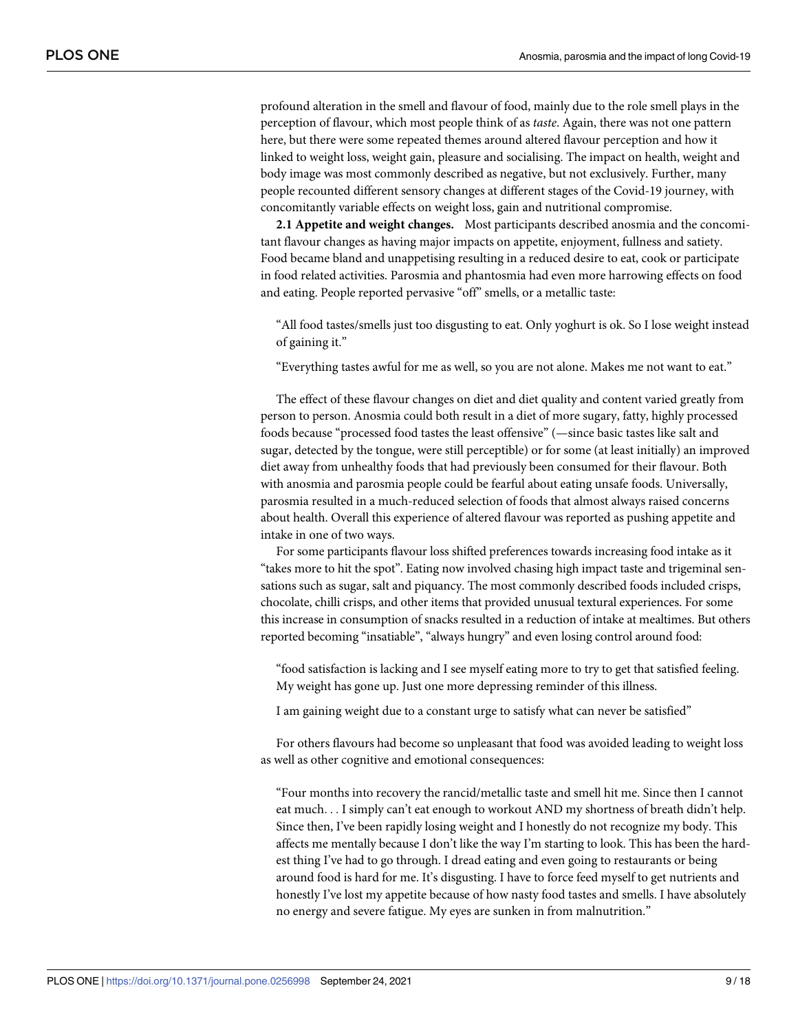profound alteration in the smell and flavour of food, mainly due to the role smell plays in the perception of flavour, which most people think of as *taste*. Again, there was not one pattern here, but there were some repeated themes around altered flavour perception and how it linked to weight loss, weight gain, pleasure and socialising. The impact on health, weight and body image was most commonly described as negative, but not exclusively. Further, many people recounted different sensory changes at different stages of the Covid-19 journey, with concomitantly variable effects on weight loss, gain and nutritional compromise.

**2.1 Appetite and weight changes.** Most participants described anosmia and the concomitant flavour changes as having major impacts on appetite, enjoyment, fullness and satiety. Food became bland and unappetising resulting in a reduced desire to eat, cook or participate in food related activities. Parosmia and phantosmia had even more harrowing effects on food and eating. People reported pervasive "off" smells, or a metallic taste:

"All food tastes/smells just too disgusting to eat. Only yoghurt is ok. So I lose weight instead of gaining it."

"Everything tastes awful for me as well, so you are not alone. Makes me not want to eat."

The effect of these flavour changes on diet and diet quality and content varied greatly from person to person. Anosmia could both result in a diet of more sugary, fatty, highly processed foods because "processed food tastes the least offensive" (—since basic tastes like salt and sugar, detected by the tongue, were still perceptible) or for some (at least initially) an improved diet away from unhealthy foods that had previously been consumed for their flavour. Both with anosmia and parosmia people could be fearful about eating unsafe foods. Universally, parosmia resulted in a much-reduced selection of foods that almost always raised concerns about health. Overall this experience of altered flavour was reported as pushing appetite and intake in one of two ways.

For some participants flavour loss shifted preferences towards increasing food intake as it "takes more to hit the spot". Eating now involved chasing high impact taste and trigeminal sensations such as sugar, salt and piquancy. The most commonly described foods included crisps, chocolate, chilli crisps, and other items that provided unusual textural experiences. For some this increase in consumption of snacks resulted in a reduction of intake at mealtimes. But others reported becoming "insatiable", "always hungry" and even losing control around food:

"food satisfaction is lacking and I see myself eating more to try to get that satisfied feeling. My weight has gone up. Just one more depressing reminder of this illness.

I am gaining weight due to a constant urge to satisfy what can never be satisfied"

For others flavours had become so unpleasant that food was avoided leading to weight loss as well as other cognitive and emotional consequences:

"Four months into recovery the rancid/metallic taste and smell hit me. Since then I cannot eat much. . . I simply can't eat enough to workout AND my shortness of breath didn't help. Since then, I've been rapidly losing weight and I honestly do not recognize my body. This affects me mentally because I don't like the way I'm starting to look. This has been the hardest thing I've had to go through. I dread eating and even going to restaurants or being around food is hard for me. It's disgusting. I have to force feed myself to get nutrients and honestly I've lost my appetite because of how nasty food tastes and smells. I have absolutely no energy and severe fatigue. My eyes are sunken in from malnutrition."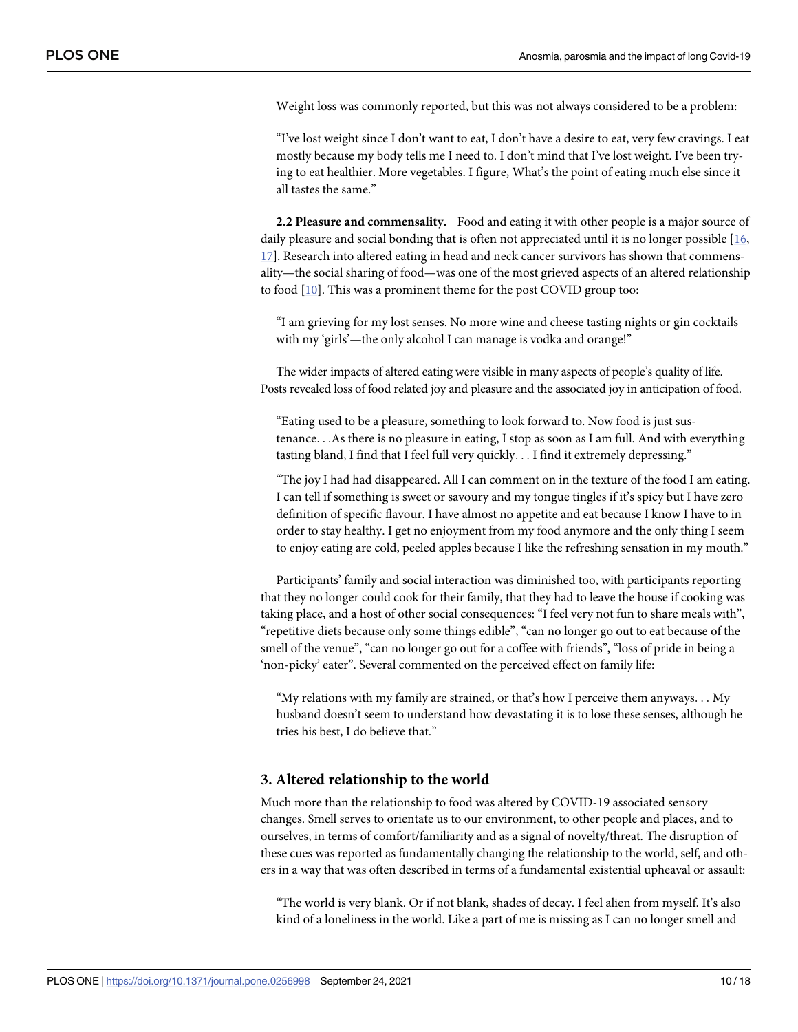<span id="page-9-0"></span>Weight loss was commonly reported, but this was not always considered to be a problem:

"I've lost weight since I don't want to eat, I don't have a desire to eat, very few cravings. I eat mostly because my body tells me I need to. I don't mind that I've lost weight. I've been trying to eat healthier. More vegetables. I figure, What's the point of eating much else since it all tastes the same."

**2.2 Pleasure and commensality.** Food and eating it with other people is a major source of daily pleasure and social bonding that is often not appreciated until it is no longer possible [\[16,](#page-16-0) [17\]](#page-16-0). Research into altered eating in head and neck cancer survivors has shown that commensality—the social sharing of food—was one of the most grieved aspects of an altered relationship to food [\[10\]](#page-16-0). This was a prominent theme for the post COVID group too:

"I am grieving for my lost senses. No more wine and cheese tasting nights or gin cocktails with my 'girls'—the only alcohol I can manage is vodka and orange!"

The wider impacts of altered eating were visible in many aspects of people's quality of life. Posts revealed loss of food related joy and pleasure and the associated joy in anticipation of food.

"Eating used to be a pleasure, something to look forward to. Now food is just sustenance. . .As there is no pleasure in eating, I stop as soon as I am full. And with everything tasting bland, I find that I feel full very quickly. . . I find it extremely depressing."

"The joy I had had disappeared. All I can comment on in the texture of the food I am eating. I can tell if something is sweet or savoury and my tongue tingles if it's spicy but I have zero definition of specific flavour. I have almost no appetite and eat because I know I have to in order to stay healthy. I get no enjoyment from my food anymore and the only thing I seem to enjoy eating are cold, peeled apples because I like the refreshing sensation in my mouth."

Participants' family and social interaction was diminished too, with participants reporting that they no longer could cook for their family, that they had to leave the house if cooking was taking place, and a host of other social consequences: "I feel very not fun to share meals with", "repetitive diets because only some things edible", "can no longer go out to eat because of the smell of the venue", "can no longer go out for a coffee with friends", "loss of pride in being a 'non-picky' eater". Several commented on the perceived effect on family life:

"My relations with my family are strained, or that's how I perceive them anyways. . . My husband doesn't seem to understand how devastating it is to lose these senses, although he tries his best, I do believe that."

#### **3. Altered relationship to the world**

Much more than the relationship to food was altered by COVID-19 associated sensory changes. Smell serves to orientate us to our environment, to other people and places, and to ourselves, in terms of comfort/familiarity and as a signal of novelty/threat. The disruption of these cues was reported as fundamentally changing the relationship to the world, self, and others in a way that was often described in terms of a fundamental existential upheaval or assault:

"The world is very blank. Or if not blank, shades of decay. I feel alien from myself. It's also kind of a loneliness in the world. Like a part of me is missing as I can no longer smell and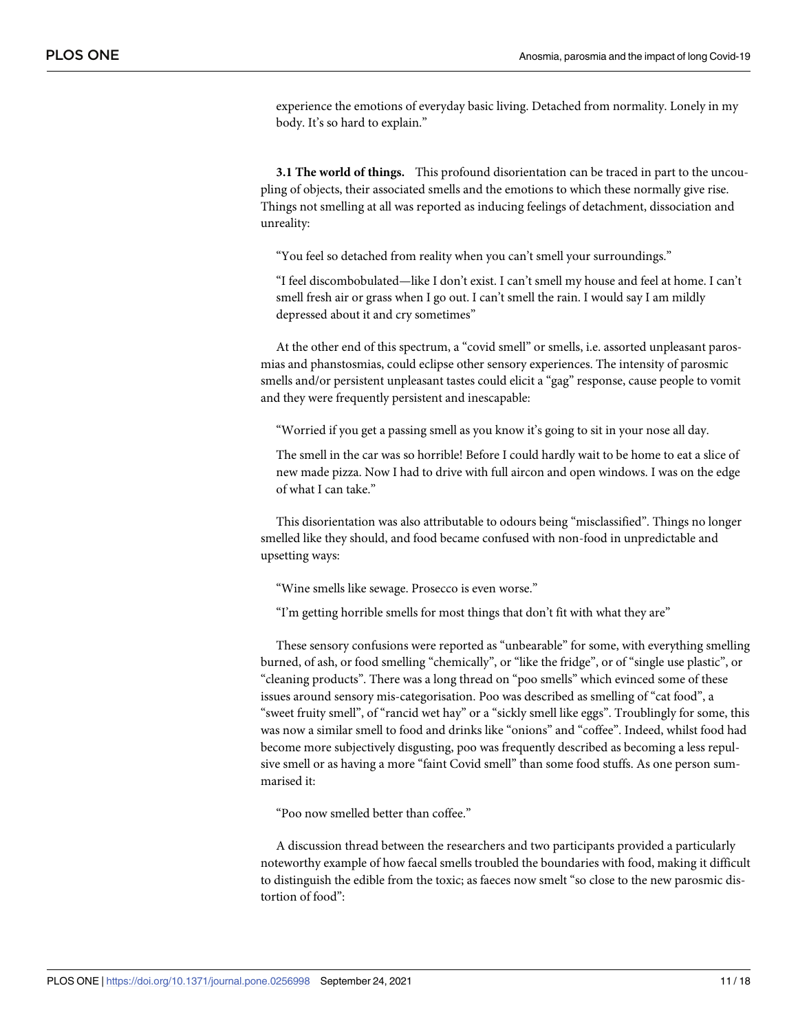experience the emotions of everyday basic living. Detached from normality. Lonely in my body. It's so hard to explain."

**3.1 The world of things.** This profound disorientation can be traced in part to the uncoupling of objects, their associated smells and the emotions to which these normally give rise. Things not smelling at all was reported as inducing feelings of detachment, dissociation and unreality:

"You feel so detached from reality when you can't smell your surroundings."

"I feel discombobulated—like I don't exist. I can't smell my house and feel at home. I can't smell fresh air or grass when I go out. I can't smell the rain. I would say I am mildly depressed about it and cry sometimes"

At the other end of this spectrum, a "covid smell" or smells, i.e. assorted unpleasant parosmias and phanstosmias, could eclipse other sensory experiences. The intensity of parosmic smells and/or persistent unpleasant tastes could elicit a "gag" response, cause people to vomit and they were frequently persistent and inescapable:

"Worried if you get a passing smell as you know it's going to sit in your nose all day.

The smell in the car was so horrible! Before I could hardly wait to be home to eat a slice of new made pizza. Now I had to drive with full aircon and open windows. I was on the edge of what I can take."

This disorientation was also attributable to odours being "misclassified". Things no longer smelled like they should, and food became confused with non-food in unpredictable and upsetting ways:

"Wine smells like sewage. Prosecco is even worse."

"I'm getting horrible smells for most things that don't fit with what they are"

These sensory confusions were reported as "unbearable" for some, with everything smelling burned, of ash, or food smelling "chemically", or "like the fridge", or of "single use plastic", or "cleaning products". There was a long thread on "poo smells" which evinced some of these issues around sensory mis-categorisation. Poo was described as smelling of "cat food", a "sweet fruity smell", of "rancid wet hay" or a "sickly smell like eggs". Troublingly for some, this was now a similar smell to food and drinks like "onions" and "coffee". Indeed, whilst food had become more subjectively disgusting, poo was frequently described as becoming a less repulsive smell or as having a more "faint Covid smell" than some food stuffs. As one person summarised it:

"Poo now smelled better than coffee."

A discussion thread between the researchers and two participants provided a particularly noteworthy example of how faecal smells troubled the boundaries with food, making it difficult to distinguish the edible from the toxic; as faeces now smelt "so close to the new parosmic distortion of food":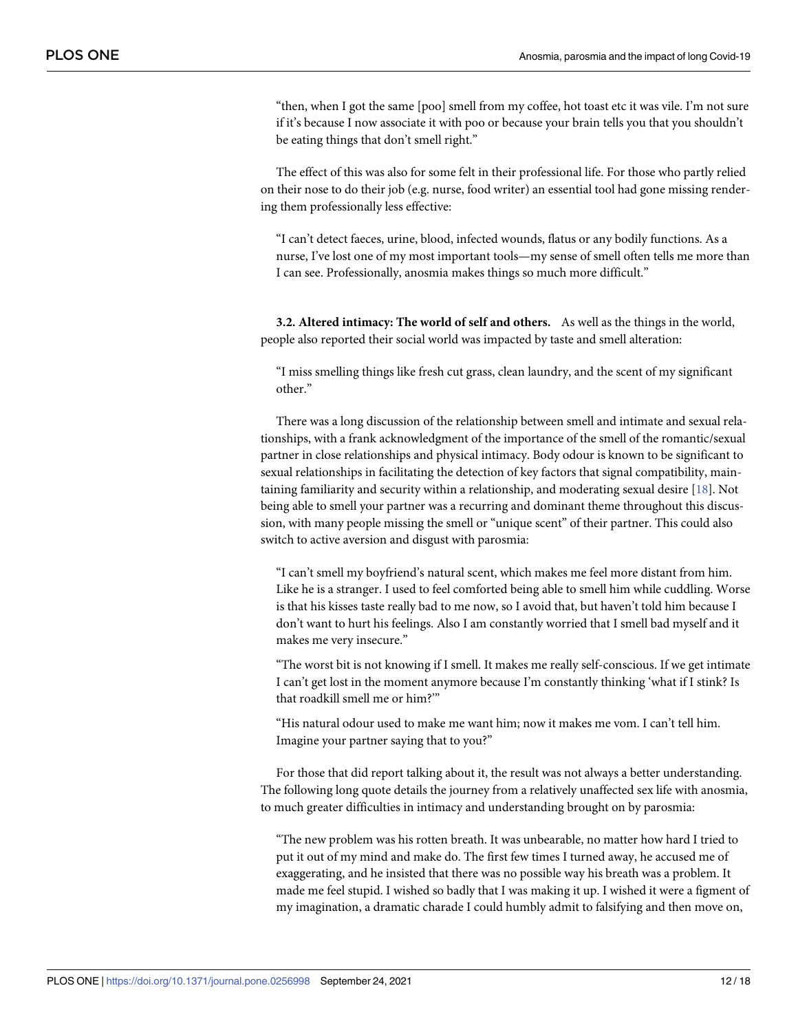<span id="page-11-0"></span>"then, when I got the same [poo] smell from my coffee, hot toast etc it was vile. I'm not sure if it's because I now associate it with poo or because your brain tells you that you shouldn't be eating things that don't smell right."

The effect of this was also for some felt in their professional life. For those who partly relied on their nose to do their job (e.g. nurse, food writer) an essential tool had gone missing rendering them professionally less effective:

"I can't detect faeces, urine, blood, infected wounds, flatus or any bodily functions. As a nurse, I've lost one of my most important tools—my sense of smell often tells me more than I can see. Professionally, anosmia makes things so much more difficult."

**3.2. Altered intimacy: The world of self and others.** As well as the things in the world, people also reported their social world was impacted by taste and smell alteration:

"I miss smelling things like fresh cut grass, clean laundry, and the scent of my significant other."

There was a long discussion of the relationship between smell and intimate and sexual relationships, with a frank acknowledgment of the importance of the smell of the romantic/sexual partner in close relationships and physical intimacy. Body odour is known to be significant to sexual relationships in facilitating the detection of key factors that signal compatibility, maintaining familiarity and security within a relationship, and moderating sexual desire [\[18\]](#page-16-0). Not being able to smell your partner was a recurring and dominant theme throughout this discussion, with many people missing the smell or "unique scent" of their partner. This could also switch to active aversion and disgust with parosmia:

"I can't smell my boyfriend's natural scent, which makes me feel more distant from him. Like he is a stranger. I used to feel comforted being able to smell him while cuddling. Worse is that his kisses taste really bad to me now, so I avoid that, but haven't told him because I don't want to hurt his feelings. Also I am constantly worried that I smell bad myself and it makes me very insecure."

"The worst bit is not knowing if I smell. It makes me really self-conscious. If we get intimate I can't get lost in the moment anymore because I'm constantly thinking 'what if I stink? Is that roadkill smell me or him?'"

"His natural odour used to make me want him; now it makes me vom. I can't tell him. Imagine your partner saying that to you?"

For those that did report talking about it, the result was not always a better understanding. The following long quote details the journey from a relatively unaffected sex life with anosmia, to much greater difficulties in intimacy and understanding brought on by parosmia:

"The new problem was his rotten breath. It was unbearable, no matter how hard I tried to put it out of my mind and make do. The first few times I turned away, he accused me of exaggerating, and he insisted that there was no possible way his breath was a problem. It made me feel stupid. I wished so badly that I was making it up. I wished it were a figment of my imagination, a dramatic charade I could humbly admit to falsifying and then move on,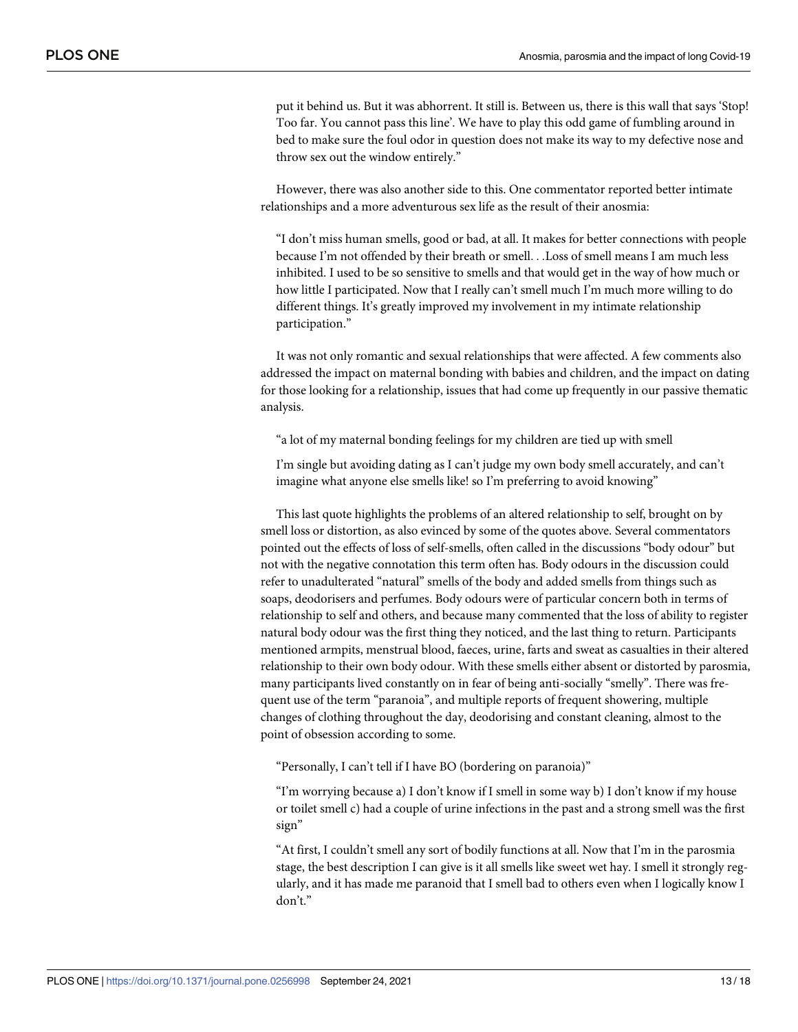put it behind us. But it was abhorrent. It still is. Between us, there is this wall that says 'Stop! Too far. You cannot pass this line'. We have to play this odd game of fumbling around in bed to make sure the foul odor in question does not make its way to my defective nose and throw sex out the window entirely."

However, there was also another side to this. One commentator reported better intimate relationships and a more adventurous sex life as the result of their anosmia:

"I don't miss human smells, good or bad, at all. It makes for better connections with people because I'm not offended by their breath or smell. . .Loss of smell means I am much less inhibited. I used to be so sensitive to smells and that would get in the way of how much or how little I participated. Now that I really can't smell much I'm much more willing to do different things. It's greatly improved my involvement in my intimate relationship participation."

It was not only romantic and sexual relationships that were affected. A few comments also addressed the impact on maternal bonding with babies and children, and the impact on dating for those looking for a relationship, issues that had come up frequently in our passive thematic analysis.

"a lot of my maternal bonding feelings for my children are tied up with smell

I'm single but avoiding dating as I can't judge my own body smell accurately, and can't imagine what anyone else smells like! so I'm preferring to avoid knowing"

This last quote highlights the problems of an altered relationship to self, brought on by smell loss or distortion, as also evinced by some of the quotes above. Several commentators pointed out the effects of loss of self-smells, often called in the discussions "body odour" but not with the negative connotation this term often has. Body odours in the discussion could refer to unadulterated "natural" smells of the body and added smells from things such as soaps, deodorisers and perfumes. Body odours were of particular concern both in terms of relationship to self and others, and because many commented that the loss of ability to register natural body odour was the first thing they noticed, and the last thing to return. Participants mentioned armpits, menstrual blood, faeces, urine, farts and sweat as casualties in their altered relationship to their own body odour. With these smells either absent or distorted by parosmia, many participants lived constantly on in fear of being anti-socially "smelly". There was frequent use of the term "paranoia", and multiple reports of frequent showering, multiple changes of clothing throughout the day, deodorising and constant cleaning, almost to the point of obsession according to some.

"Personally, I can't tell if I have BO (bordering on paranoia)"

"I'm worrying because a) I don't know if I smell in some way b) I don't know if my house or toilet smell c) had a couple of urine infections in the past and a strong smell was the first sign"

"At first, I couldn't smell any sort of bodily functions at all. Now that I'm in the parosmia stage, the best description I can give is it all smells like sweet wet hay. I smell it strongly regularly, and it has made me paranoid that I smell bad to others even when I logically know I don't."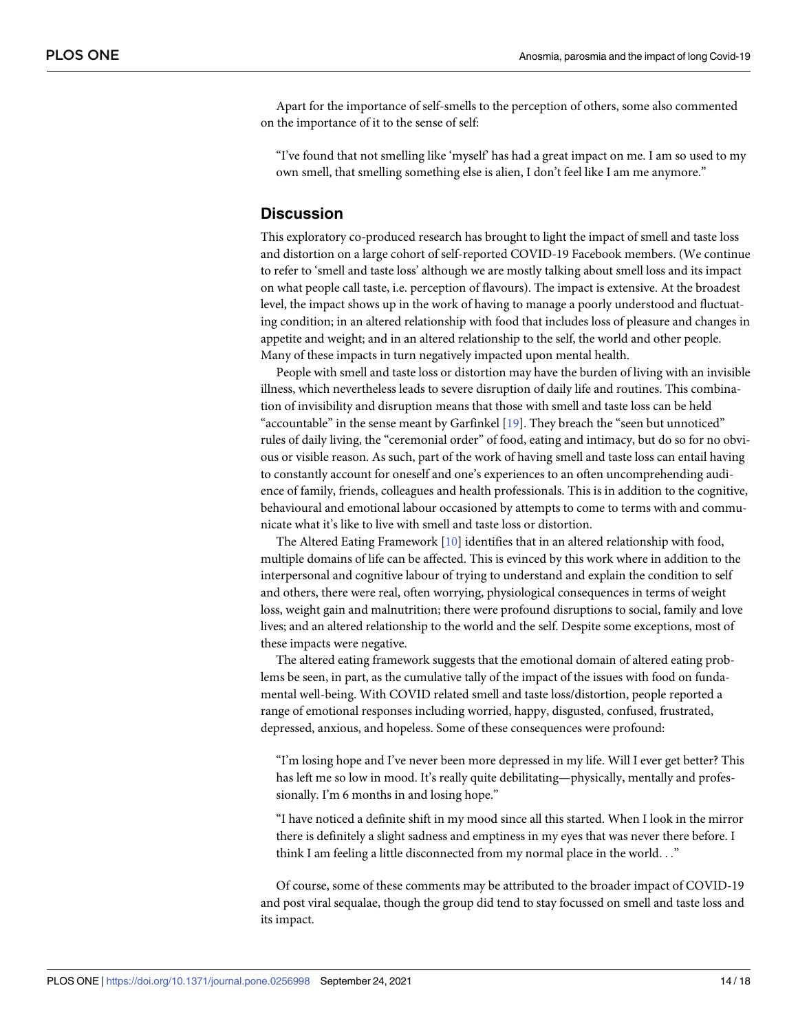<span id="page-13-0"></span>Apart for the importance of self-smells to the perception of others, some also commented on the importance of it to the sense of self:

"I've found that not smelling like 'myself' has had a great impact on me. I am so used to my own smell, that smelling something else is alien, I don't feel like I am me anymore."

# **Discussion**

This exploratory co-produced research has brought to light the impact of smell and taste loss and distortion on a large cohort of self-reported COVID-19 Facebook members. (We continue to refer to 'smell and taste loss' although we are mostly talking about smell loss and its impact on what people call taste, i.e. perception of flavours). The impact is extensive. At the broadest level, the impact shows up in the work of having to manage a poorly understood and fluctuating condition; in an altered relationship with food that includes loss of pleasure and changes in appetite and weight; and in an altered relationship to the self, the world and other people. Many of these impacts in turn negatively impacted upon mental health.

People with smell and taste loss or distortion may have the burden of living with an invisible illness, which nevertheless leads to severe disruption of daily life and routines. This combination of invisibility and disruption means that those with smell and taste loss can be held "accountable" in the sense meant by Garfinkel [[19](#page-16-0)]. They breach the "seen but unnoticed" rules of daily living, the "ceremonial order" of food, eating and intimacy, but do so for no obvious or visible reason. As such, part of the work of having smell and taste loss can entail having to constantly account for oneself and one's experiences to an often uncomprehending audience of family, friends, colleagues and health professionals. This is in addition to the cognitive, behavioural and emotional labour occasioned by attempts to come to terms with and communicate what it's like to live with smell and taste loss or distortion.

The Altered Eating Framework [[10](#page-16-0)] identifies that in an altered relationship with food, multiple domains of life can be affected. This is evinced by this work where in addition to the interpersonal and cognitive labour of trying to understand and explain the condition to self and others, there were real, often worrying, physiological consequences in terms of weight loss, weight gain and malnutrition; there were profound disruptions to social, family and love lives; and an altered relationship to the world and the self. Despite some exceptions, most of these impacts were negative.

The altered eating framework suggests that the emotional domain of altered eating problems be seen, in part, as the cumulative tally of the impact of the issues with food on fundamental well-being. With COVID related smell and taste loss/distortion, people reported a range of emotional responses including worried, happy, disgusted, confused, frustrated, depressed, anxious, and hopeless. Some of these consequences were profound:

"I'm losing hope and I've never been more depressed in my life. Will I ever get better? This has left me so low in mood. It's really quite debilitating—physically, mentally and professionally. I'm 6 months in and losing hope."

"I have noticed a definite shift in my mood since all this started. When I look in the mirror there is definitely a slight sadness and emptiness in my eyes that was never there before. I think I am feeling a little disconnected from my normal place in the world. . ."

Of course, some of these comments may be attributed to the broader impact of COVID-19 and post viral sequalae, though the group did tend to stay focussed on smell and taste loss and its impact.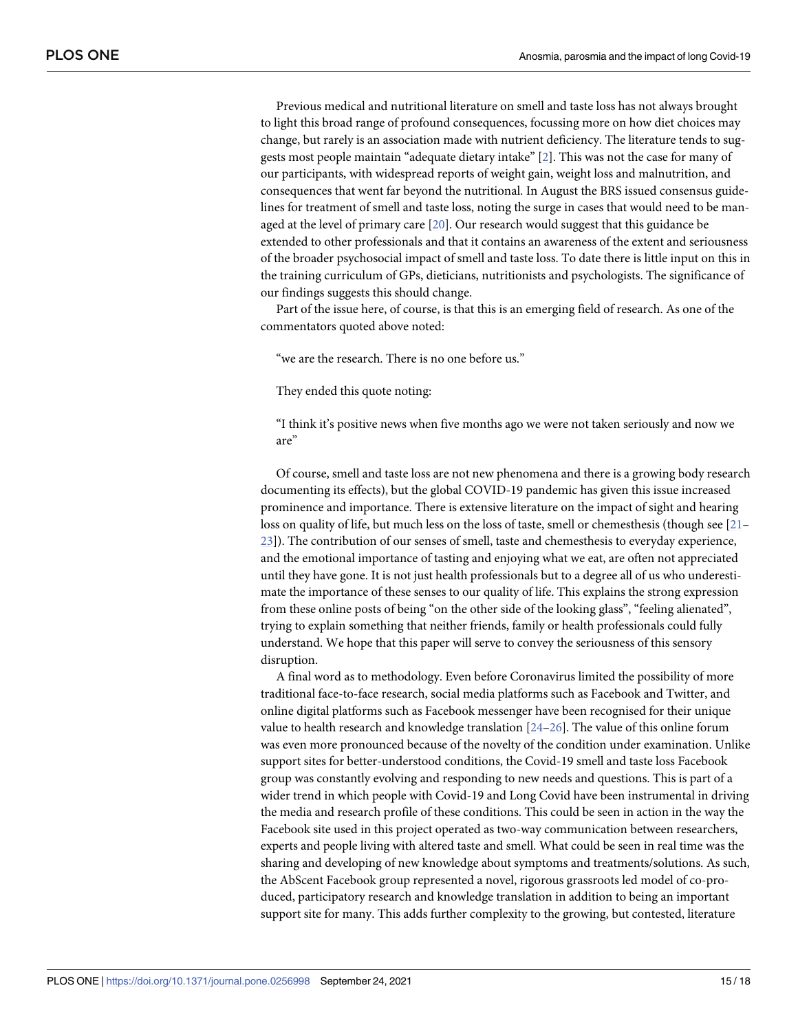<span id="page-14-0"></span>Previous medical and nutritional literature on smell and taste loss has not always brought to light this broad range of profound consequences, focussing more on how diet choices may change, but rarely is an association made with nutrient deficiency. The literature tends to suggests most people maintain "adequate dietary intake" [\[2](#page-16-0)]. This was not the case for many of our participants, with widespread reports of weight gain, weight loss and malnutrition, and consequences that went far beyond the nutritional. In August the BRS issued consensus guidelines for treatment of smell and taste loss, noting the surge in cases that would need to be managed at the level of primary care [[20](#page-16-0)]. Our research would suggest that this guidance be extended to other professionals and that it contains an awareness of the extent and seriousness of the broader psychosocial impact of smell and taste loss. To date there is little input on this in the training curriculum of GPs, dieticians, nutritionists and psychologists. The significance of our findings suggests this should change.

Part of the issue here, of course, is that this is an emerging field of research. As one of the commentators quoted above noted:

"we are the research. There is no one before us."

They ended this quote noting:

"I think it's positive news when five months ago we were not taken seriously and now we are"

Of course, smell and taste loss are not new phenomena and there is a growing body research documenting its effects), but the global COVID-19 pandemic has given this issue increased prominence and importance. There is extensive literature on the impact of sight and hearing loss on quality of life, but much less on the loss of taste, smell or chemesthesis (though see [\[21–](#page-16-0) [23\]](#page-16-0)). The contribution of our senses of smell, taste and chemesthesis to everyday experience, and the emotional importance of tasting and enjoying what we eat, are often not appreciated until they have gone. It is not just health professionals but to a degree all of us who underestimate the importance of these senses to our quality of life. This explains the strong expression from these online posts of being "on the other side of the looking glass", "feeling alienated", trying to explain something that neither friends, family or health professionals could fully understand. We hope that this paper will serve to convey the seriousness of this sensory disruption.

A final word as to methodology. Even before Coronavirus limited the possibility of more traditional face-to-face research, social media platforms such as Facebook and Twitter, and online digital platforms such as Facebook messenger have been recognised for their unique value to health research and knowledge translation [\[24–26](#page-16-0)]. The value of this online forum was even more pronounced because of the novelty of the condition under examination. Unlike support sites for better-understood conditions, the Covid-19 smell and taste loss Facebook group was constantly evolving and responding to new needs and questions. This is part of a wider trend in which people with Covid-19 and Long Covid have been instrumental in driving the media and research profile of these conditions. This could be seen in action in the way the Facebook site used in this project operated as two-way communication between researchers, experts and people living with altered taste and smell. What could be seen in real time was the sharing and developing of new knowledge about symptoms and treatments/solutions. As such, the AbScent Facebook group represented a novel, rigorous grassroots led model of co-produced, participatory research and knowledge translation in addition to being an important support site for many. This adds further complexity to the growing, but contested, literature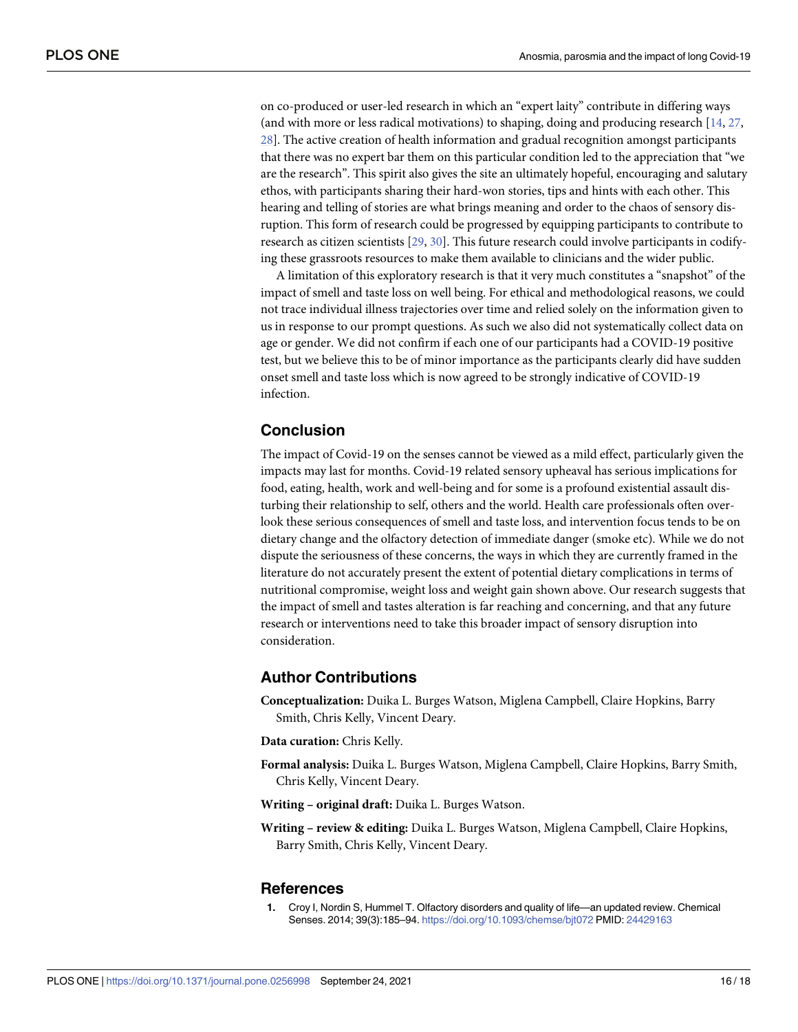<span id="page-15-0"></span>on co-produced or user-led research in which an "expert laity" contribute in differing ways (and with more or less radical motivations) to shaping, doing and producing research [[14](#page-16-0), [27](#page-17-0), [28\]](#page-17-0). The active creation of health information and gradual recognition amongst participants that there was no expert bar them on this particular condition led to the appreciation that "we are the research". This spirit also gives the site an ultimately hopeful, encouraging and salutary ethos, with participants sharing their hard-won stories, tips and hints with each other. This hearing and telling of stories are what brings meaning and order to the chaos of sensory disruption. This form of research could be progressed by equipping participants to contribute to research as citizen scientists [\[29,](#page-17-0) [30](#page-17-0)]. This future research could involve participants in codifying these grassroots resources to make them available to clinicians and the wider public.

A limitation of this exploratory research is that it very much constitutes a "snapshot" of the impact of smell and taste loss on well being. For ethical and methodological reasons, we could not trace individual illness trajectories over time and relied solely on the information given to us in response to our prompt questions. As such we also did not systematically collect data on age or gender. We did not confirm if each one of our participants had a COVID-19 positive test, but we believe this to be of minor importance as the participants clearly did have sudden onset smell and taste loss which is now agreed to be strongly indicative of COVID-19 infection.

# **Conclusion**

The impact of Covid-19 on the senses cannot be viewed as a mild effect, particularly given the impacts may last for months. Covid-19 related sensory upheaval has serious implications for food, eating, health, work and well-being and for some is a profound existential assault disturbing their relationship to self, others and the world. Health care professionals often overlook these serious consequences of smell and taste loss, and intervention focus tends to be on dietary change and the olfactory detection of immediate danger (smoke etc). While we do not dispute the seriousness of these concerns, the ways in which they are currently framed in the literature do not accurately present the extent of potential dietary complications in terms of nutritional compromise, weight loss and weight gain shown above. Our research suggests that the impact of smell and tastes alteration is far reaching and concerning, and that any future research or interventions need to take this broader impact of sensory disruption into consideration.

# **Author Contributions**

- **Conceptualization:** Duika L. Burges Watson, Miglena Campbell, Claire Hopkins, Barry Smith, Chris Kelly, Vincent Deary.
- **Data curation:** Chris Kelly.
- **Formal analysis:** Duika L. Burges Watson, Miglena Campbell, Claire Hopkins, Barry Smith, Chris Kelly, Vincent Deary.
- **Writing – original draft:** Duika L. Burges Watson.
- **Writing – review & editing:** Duika L. Burges Watson, Miglena Campbell, Claire Hopkins, Barry Smith, Chris Kelly, Vincent Deary.

#### **References**

**[1](#page-1-0).** Croy I, Nordin S, Hummel T. Olfactory disorders and quality of life—an updated review. Chemical Senses. 2014; 39(3):185–94. <https://doi.org/10.1093/chemse/bjt072> PMID: [24429163](http://www.ncbi.nlm.nih.gov/pubmed/24429163)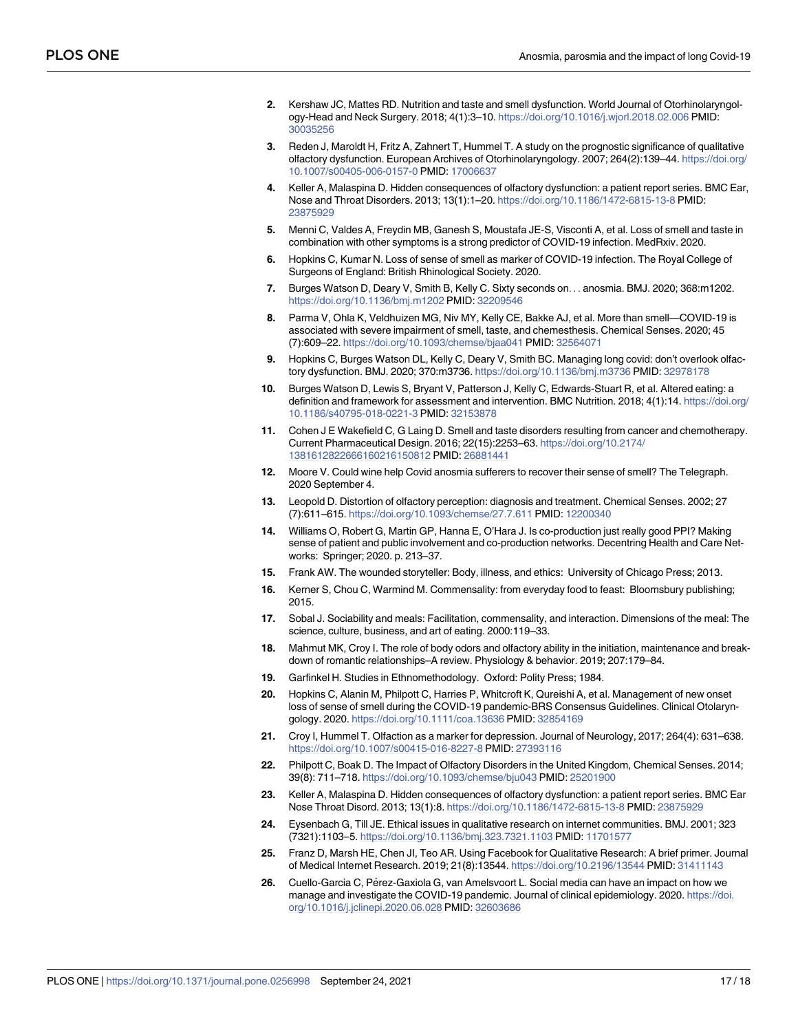- <span id="page-16-0"></span>**[2](#page-1-0).** Kershaw JC, Mattes RD. Nutrition and taste and smell dysfunction. World Journal of Otorhinolaryngology-Head and Neck Surgery. 2018; 4(1):3–10. <https://doi.org/10.1016/j.wjorl.2018.02.006> PMID: [30035256](http://www.ncbi.nlm.nih.gov/pubmed/30035256)
- **[3](#page-1-0).** Reden J, Maroldt H, Fritz A, Zahnert T, Hummel T. A study on the prognostic significance of qualitative olfactory dysfunction. European Archives of Otorhinolaryngology. 2007; 264(2):139–44. [https://doi.org/](https://doi.org/10.1007/s00405-006-0157-0) [10.1007/s00405-006-0157-0](https://doi.org/10.1007/s00405-006-0157-0) PMID: [17006637](http://www.ncbi.nlm.nih.gov/pubmed/17006637)
- **[4](#page-1-0).** Keller A, Malaspina D. Hidden consequences of olfactory dysfunction: a patient report series. BMC Ear, Nose and Throat Disorders. 2013; 13(1):1–20. <https://doi.org/10.1186/1472-6815-13-8> PMID: [23875929](http://www.ncbi.nlm.nih.gov/pubmed/23875929)
- **[5](#page-1-0).** Menni C, Valdes A, Freydin MB, Ganesh S, Moustafa JE-S, Visconti A, et al. Loss of smell and taste in combination with other symptoms is a strong predictor of COVID-19 infection. MedRxiv. 2020.
- **[6](#page-1-0).** Hopkins C, Kumar N. Loss of sense of smell as marker of COVID-19 infection. The Royal College of Surgeons of England: British Rhinological Society. 2020.
- **[7](#page-1-0).** Burges Watson D, Deary V, Smith B, Kelly C. Sixty seconds on. . . anosmia. BMJ. 2020; 368:m1202. <https://doi.org/10.1136/bmj.m1202> PMID: [32209546](http://www.ncbi.nlm.nih.gov/pubmed/32209546)
- **[8](#page-1-0).** Parma V, Ohla K, Veldhuizen MG, Niv MY, Kelly CE, Bakke AJ, et al. More than smell—COVID-19 is associated with severe impairment of smell, taste, and chemesthesis. Chemical Senses. 2020; 45 (7):609–22. <https://doi.org/10.1093/chemse/bjaa041> PMID: [32564071](http://www.ncbi.nlm.nih.gov/pubmed/32564071)
- **[9](#page-1-0).** Hopkins C, Burges Watson DL, Kelly C, Deary V, Smith BC. Managing long covid: don't overlook olfactory dysfunction. BMJ. 2020; 370:m3736. <https://doi.org/10.1136/bmj.m3736> PMID: [32978178](http://www.ncbi.nlm.nih.gov/pubmed/32978178)
- **[10](#page-1-0).** Burges Watson D, Lewis S, Bryant V, Patterson J, Kelly C, Edwards-Stuart R, et al. Altered eating: a definition and framework for assessment and intervention. BMC Nutrition. 2018; 4(1):14. [https://doi.org/](https://doi.org/10.1186/s40795-018-0221-3) [10.1186/s40795-018-0221-3](https://doi.org/10.1186/s40795-018-0221-3) PMID: [32153878](http://www.ncbi.nlm.nih.gov/pubmed/32153878)
- **[11](#page-1-0).** Cohen J E Wakefield C, G Laing D. Smell and taste disorders resulting from cancer and chemotherapy. Current Pharmaceutical Design. 2016; 22(15):2253–63. [https://doi.org/10.2174/](https://doi.org/10.2174/1381612822666160216150812) [1381612822666160216150812](https://doi.org/10.2174/1381612822666160216150812) PMID: [26881441](http://www.ncbi.nlm.nih.gov/pubmed/26881441)
- **[12](#page-2-0).** Moore V. Could wine help Covid anosmia sufferers to recover their sense of smell? The Telegraph. 2020 September 4.
- **[13](#page-2-0).** Leopold D. Distortion of olfactory perception: diagnosis and treatment. Chemical Senses. 2002; 27 (7):611–615. <https://doi.org/10.1093/chemse/27.7.611> PMID: [12200340](http://www.ncbi.nlm.nih.gov/pubmed/12200340)
- **[14](#page-4-0).** Williams O, Robert G, Martin GP, Hanna E, O'Hara J. Is co-production just really good PPI? Making sense of patient and public involvement and co-production networks. Decentring Health and Care Networks: Springer; 2020. p. 213–37.
- **[15](#page-6-0).** Frank AW. The wounded storyteller: Body, illness, and ethics: University of Chicago Press; 2013.
- **[16](#page-9-0).** Kerner S, Chou C, Warmind M. Commensality: from everyday food to feast: Bloomsbury publishing; 2015.
- **[17](#page-9-0).** Sobal J. Sociability and meals: Facilitation, commensality, and interaction. Dimensions of the meal: The science, culture, business, and art of eating. 2000:119–33.
- **[18](#page-11-0).** Mahmut MK, Croy I. The role of body odors and olfactory ability in the initiation, maintenance and breakdown of romantic relationships–A review. Physiology & behavior. 2019; 207:179–84.
- **[19](#page-13-0).** Garfinkel H. Studies in Ethnomethodology. Oxford: Polity Press; 1984.
- **[20](#page-14-0).** Hopkins C, Alanin M, Philpott C, Harries P, Whitcroft K, Qureishi A, et al. Management of new onset loss of sense of smell during the COVID-19 pandemic-BRS Consensus Guidelines. Clinical Otolaryngology. 2020. <https://doi.org/10.1111/coa.13636> PMID: [32854169](http://www.ncbi.nlm.nih.gov/pubmed/32854169)
- **[21](#page-14-0).** Croy I, Hummel T. Olfaction as a marker for depression. Journal of Neurology, 2017; 264(4): 631–638. <https://doi.org/10.1007/s00415-016-8227-8> PMID: [27393116](http://www.ncbi.nlm.nih.gov/pubmed/27393116)
- **22.** Philpott C, Boak D. The Impact of Olfactory Disorders in the United Kingdom, Chemical Senses. 2014; 39(8): 711–718. <https://doi.org/10.1093/chemse/bju043> PMID: [25201900](http://www.ncbi.nlm.nih.gov/pubmed/25201900)
- **[23](#page-14-0).** Keller A, Malaspina D. Hidden consequences of olfactory dysfunction: a patient report series. BMC Ear Nose Throat Disord. 2013; 13(1):8. <https://doi.org/10.1186/1472-6815-13-8> PMID: [23875929](http://www.ncbi.nlm.nih.gov/pubmed/23875929)
- **[24](#page-14-0).** Eysenbach G, Till JE. Ethical issues in qualitative research on internet communities. BMJ. 2001; 323 (7321):1103–5. <https://doi.org/10.1136/bmj.323.7321.1103> PMID: [11701577](http://www.ncbi.nlm.nih.gov/pubmed/11701577)
- **25.** Franz D, Marsh HE, Chen JI, Teo AR. Using Facebook for Qualitative Research: A brief primer. Journal of Medical Internet Research. 2019; 21(8):13544. <https://doi.org/10.2196/13544> PMID: [31411143](http://www.ncbi.nlm.nih.gov/pubmed/31411143)
- **[26](#page-14-0).** Cuello-Garcia C, Pérez-Gaxiola G, van Amelsvoort L. Social media can have an impact on how we manage and investigate the COVID-19 pandemic. Journal of clinical epidemiology. 2020. [https://doi.](https://doi.org/10.1016/j.jclinepi.2020.06.028) [org/10.1016/j.jclinepi.2020.06.028](https://doi.org/10.1016/j.jclinepi.2020.06.028) PMID: [32603686](http://www.ncbi.nlm.nih.gov/pubmed/32603686)